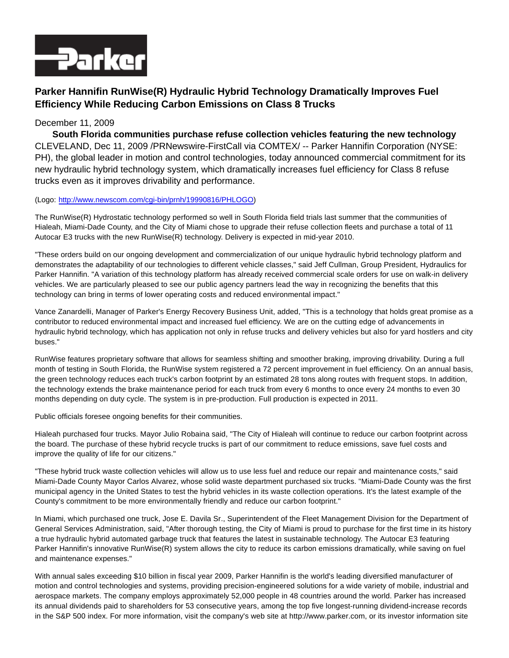

## **Parker Hannifin RunWise(R) Hydraulic Hybrid Technology Dramatically Improves Fuel Efficiency While Reducing Carbon Emissions on Class 8 Trucks**

## December 11, 2009

**South Florida communities purchase refuse collection vehicles featuring the new technology** CLEVELAND, Dec 11, 2009 /PRNewswire-FirstCall via COMTEX/ -- Parker Hannifin Corporation (NYSE: PH), the global leader in motion and control technologies, today announced commercial commitment for its new hydraulic hybrid technology system, which dramatically increases fuel efficiency for Class 8 refuse trucks even as it improves drivability and performance.

## (Logo: [http://www.newscom.com/cgi-bin/prnh/19990816/PHLOGO\)](http://www.newscom.com/cgi-bin/prnh/19990816/PHLOGO)

The RunWise(R) Hydrostatic technology performed so well in South Florida field trials last summer that the communities of Hialeah, Miami-Dade County, and the City of Miami chose to upgrade their refuse collection fleets and purchase a total of 11 Autocar E3 trucks with the new RunWise(R) technology. Delivery is expected in mid-year 2010.

"These orders build on our ongoing development and commercialization of our unique hydraulic hybrid technology platform and demonstrates the adaptability of our technologies to different vehicle classes," said Jeff Cullman, Group President, Hydraulics for Parker Hannifin. "A variation of this technology platform has already received commercial scale orders for use on walk-in delivery vehicles. We are particularly pleased to see our public agency partners lead the way in recognizing the benefits that this technology can bring in terms of lower operating costs and reduced environmental impact."

Vance Zanardelli, Manager of Parker's Energy Recovery Business Unit, added, "This is a technology that holds great promise as a contributor to reduced environmental impact and increased fuel efficiency. We are on the cutting edge of advancements in hydraulic hybrid technology, which has application not only in refuse trucks and delivery vehicles but also for yard hostlers and city buses."

RunWise features proprietary software that allows for seamless shifting and smoother braking, improving drivability. During a full month of testing in South Florida, the RunWise system registered a 72 percent improvement in fuel efficiency. On an annual basis, the green technology reduces each truck's carbon footprint by an estimated 28 tons along routes with frequent stops. In addition, the technology extends the brake maintenance period for each truck from every 6 months to once every 24 months to even 30 months depending on duty cycle. The system is in pre-production. Full production is expected in 2011.

Public officials foresee ongoing benefits for their communities.

Hialeah purchased four trucks. Mayor Julio Robaina said, "The City of Hialeah will continue to reduce our carbon footprint across the board. The purchase of these hybrid recycle trucks is part of our commitment to reduce emissions, save fuel costs and improve the quality of life for our citizens."

"These hybrid truck waste collection vehicles will allow us to use less fuel and reduce our repair and maintenance costs," said Miami-Dade County Mayor Carlos Alvarez, whose solid waste department purchased six trucks. "Miami-Dade County was the first municipal agency in the United States to test the hybrid vehicles in its waste collection operations. It's the latest example of the County's commitment to be more environmentally friendly and reduce our carbon footprint."

In Miami, which purchased one truck, Jose E. Davila Sr., Superintendent of the Fleet Management Division for the Department of General Services Administration, said, "After thorough testing, the City of Miami is proud to purchase for the first time in its history a true hydraulic hybrid automated garbage truck that features the latest in sustainable technology. The Autocar E3 featuring Parker Hannifin's innovative RunWise(R) system allows the city to reduce its carbon emissions dramatically, while saving on fuel and maintenance expenses."

With annual sales exceeding \$10 billion in fiscal year 2009, Parker Hannifin is the world's leading diversified manufacturer of motion and control technologies and systems, providing precision-engineered solutions for a wide variety of mobile, industrial and aerospace markets. The company employs approximately 52,000 people in 48 countries around the world. Parker has increased its annual dividends paid to shareholders for 53 consecutive years, among the top five longest-running dividend-increase records in the S&P 500 index. For more information, visit the company's web site at http://www.parker.com, or its investor information site